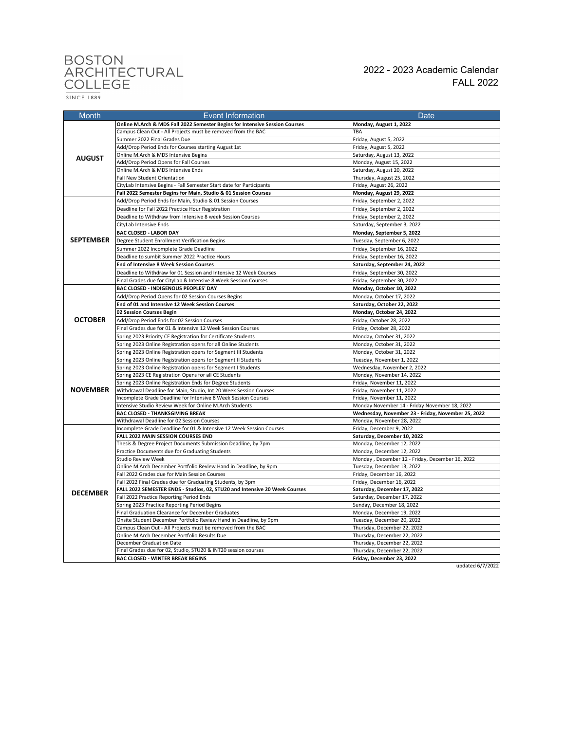## BOSTON<br>ARCHITECTURAL<br>COLLEGE

 $\frac{}{\text{SINCE} \quad \text{1889}}$ 

FALL 2022 2022 - 2023 Academic Calendar

| <b>Month</b>     | <b>Event Information</b>                                                                                              | Date                                                       |
|------------------|-----------------------------------------------------------------------------------------------------------------------|------------------------------------------------------------|
|                  | Online M.Arch & MDS Fall 2022 Semester Begins for Intensive Session Courses                                           | Monday, August 1, 2022                                     |
| <b>AUGUST</b>    | Campus Clean Out - All Projects must be removed from the BAC                                                          | <b>TBA</b>                                                 |
|                  | Summer 2022 Final Grades Due                                                                                          | Friday, August 5, 2022                                     |
|                  | Add/Drop Period Ends for Courses starting August 1st                                                                  | Friday, August 5, 2022                                     |
|                  | Online M.Arch & MDS Intensive Begins                                                                                  | Saturday, August 13, 2022                                  |
|                  | Add/Drop Period Opens for Fall Courses                                                                                | Monday, August 15, 2022                                    |
|                  | Online M.Arch & MDS Intensive Ends                                                                                    | Saturday, August 20, 2022                                  |
|                  | Fall New Student Orientation                                                                                          | Thursday, August 25, 2022                                  |
|                  | CityLab Intensive Begins - Fall Semester Start date for Participants                                                  | Friday, August 26, 2022                                    |
|                  | Fall 2022 Semester Begins for Main, Studio & 01 Session Courses                                                       | Monday, August 29, 2022                                    |
| <b>SEPTEMBER</b> | Add/Drop Period Ends for Main, Studio & 01 Session Courses                                                            | Friday, September 2, 2022                                  |
|                  | Deadline for Fall 2022 Practice Hour Registration                                                                     | Friday, September 2, 2022                                  |
|                  | Deadline to Withdraw from Intensive 8 week Session Courses                                                            | Friday, September 2, 2022                                  |
|                  | CityLab Intensive Ends                                                                                                | Saturday, September 3, 2022                                |
|                  | BAC CLOSED - LABOR DAY                                                                                                | Monday, September 5, 2022                                  |
|                  | Degree Student Enrollment Verification Begins                                                                         | Tuesday, September 6, 2022                                 |
|                  | Summer 2022 Incomplete Grade Deadline                                                                                 | Friday, September 16, 2022                                 |
|                  | Deadline to sumbit Summer 2022 Practice Hours                                                                         | Friday, September 16, 2022                                 |
|                  | <b>End of Intensive 8 Week Session Courses</b>                                                                        | Saturday, September 24, 2022                               |
|                  | Deadline to Withdraw for 01 Session and Intensive 12 Week Courses                                                     | Friday, September 30, 2022                                 |
|                  | Final Grades due for CityLab & Intensive 8 Week Session Courses                                                       | Friday, September 30, 2022                                 |
|                  | BAC CLOSED - INDIGENOUS PEOPLES' DAY                                                                                  | Monday, October 10, 2022                                   |
|                  | Add/Drop Period Opens for 02 Session Courses Begins                                                                   | Monday, October 17, 2022                                   |
|                  | End of 01 and Intensive 12 Week Session Courses                                                                       | Saturday, October 22, 2022                                 |
|                  | 02 Session Courses Begin                                                                                              | Monday, October 24, 2022                                   |
| <b>OCTOBER</b>   | Add/Drop Period Ends for 02 Session Courses                                                                           | Friday, October 28, 2022                                   |
|                  | Final Grades due for 01 & Intensive 12 Week Session Courses                                                           | Friday, October 28, 2022                                   |
|                  | Spring 2023 Priority CE Registration for Certificate Students                                                         | Monday, October 31, 2022                                   |
|                  | Spring 2023 Online Registration opens for all Online Students                                                         | Monday, October 31, 2022                                   |
|                  | Spring 2023 Online Registration opens for Segment III Students                                                        | Monday, October 31, 2022                                   |
|                  | Spring 2023 Online Registration opens for Segment II Students                                                         | Tuesday, November 1, 2022                                  |
|                  | Spring 2023 Online Registration opens for Segment I Students<br>Spring 2023 CE Registration Opens for all CE Students | Wednesday, November 2, 2022<br>Monday, November 14, 2022   |
|                  | Spring 2023 Online Registration Ends for Degree Students                                                              | Friday, November 11, 2022                                  |
| <b>NOVEMBER</b>  | Withdrawal Deadline for Main, Studio, Int 20 Week Session Courses                                                     | Friday, November 11, 2022                                  |
|                  | Incomplete Grade Deadline for Intensive 8 Week Session Courses                                                        | Friday, November 11, 2022                                  |
|                  | Intensive Studio Review Week for Online M.Arch Students                                                               | Monday November 14 - Friday November 18, 2022              |
|                  | <b>BAC CLOSED - THANKSGIVING BREAK</b>                                                                                | Wednesday, November 23 - Friday, November 25, 2022         |
|                  | Withdrawal Deadline for 02 Session Courses                                                                            | Monday, November 28, 2022                                  |
| <b>DECEMBER</b>  | Incomplete Grade Deadline for 01 & Intensive 12 Week Session Courses                                                  | Friday, December 9, 2022                                   |
|                  | FALL 2022 MAIN SESSION COURSES END                                                                                    | Saturday, December 10, 2022                                |
|                  | Thesis & Degree Project Documents Submission Deadline, by 7pm                                                         | Monday, December 12, 2022                                  |
|                  | Practice Documents due for Graduating Students                                                                        | Monday, December 12, 2022                                  |
|                  | Studio Review Week                                                                                                    | Monday, December 12 - Friday, December 16, 2022            |
|                  | Online M.Arch December Portfolio Review Hand in Deadline, by 9pm                                                      | Tuesday, December 13, 2022                                 |
|                  | Fall 2022 Grades due for Main Session Courses                                                                         | Friday, December 16, 2022                                  |
|                  | Fall 2022 Final Grades due for Graduating Students, by 3pm                                                            | Friday, December 16, 2022                                  |
|                  | FALL 2022 SEMESTER ENDS - Studios, 02, STU20 and Intensive 20 Week Courses                                            | Saturday, December 17, 2022                                |
|                  | Fall 2022 Practice Reporting Period Ends                                                                              | Saturday, December 17, 2022                                |
|                  | Spring 2023 Practice Reporting Period Begins                                                                          | Sunday, December 18, 2022                                  |
|                  | Final Graduation Clearance for December Graduates                                                                     | Monday, December 19, 2022                                  |
|                  | Onsite Student December Portfolio Review Hand in Deadline, by 9pm                                                     | Tuesday, December 20, 2022                                 |
|                  | Campus Clean Out - All Projects must be removed from the BAC<br>Online M.Arch December Portfolio Results Due          | Thursday, December 22, 2022<br>Thursday, December 22, 2022 |
|                  | December Graduation Date                                                                                              | Thursday, December 22, 2022                                |
|                  | Final Grades due for 02, Studio, STU20 & INT20 session courses                                                        | Thursday, December 22, 2022                                |
|                  | <b>BAC CLOSED - WINTER BREAK BEGINS</b>                                                                               | Friday, December 23, 2022                                  |

updated 6/7/2022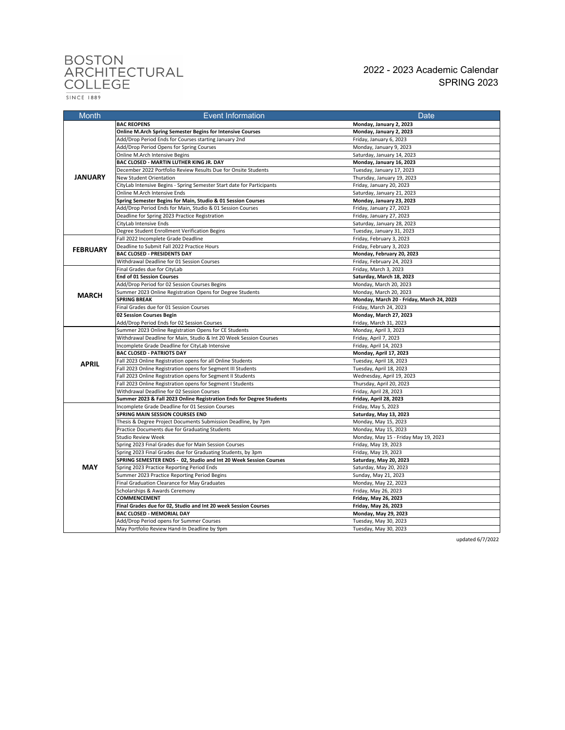## BOSTON<br>ARCHITECTURAL<br>COLLEGE

2022 - 2023 Academic Calendar SPRING 2023

 $\frac{}{\text{SINCE 1889}}$ 

| <b>Month</b>    | <b>Event Information</b>                                                                     | Date                                          |
|-----------------|----------------------------------------------------------------------------------------------|-----------------------------------------------|
| <b>JANUARY</b>  | <b>BAC REOPENS</b>                                                                           | Monday, January 2, 2023                       |
|                 | Online M.Arch Spring Semester Begins for Intensive Courses                                   | Monday, January 2, 2023                       |
|                 | Add/Drop Period Ends for Courses starting January 2nd                                        | Friday, January 6, 2023                       |
|                 | Add/Drop Period Opens for Spring Courses                                                     | Monday, January 9, 2023                       |
|                 | Online M.Arch Intensive Begins                                                               | Saturday, January 14, 2023                    |
|                 | BAC CLOSED - MARTIN LUTHER KING JR. DAY                                                      | Monday, January 16, 2023                      |
|                 | December 2022 Portfolio Review Results Due for Onsite Students                               | Tuesday, January 17, 2023                     |
|                 | New Student Orientation                                                                      | Thursday, January 19, 2023                    |
|                 | CityLab Intensive Begins - Spring Semester Start date for Participants                       | Friday, January 20, 2023                      |
|                 | Online M.Arch Intensive Ends                                                                 | Saturday, January 21, 2023                    |
|                 | Spring Semester Begins for Main, Studio & 01 Session Courses                                 | Monday, January 23, 2023                      |
|                 | Add/Drop Period Ends for Main, Studio & 01 Session Courses                                   | Friday, January 27, 2023                      |
|                 | Deadline for Spring 2023 Practice Registration                                               | Friday, January 27, 2023                      |
|                 | CityLab Intensive Ends                                                                       | Saturday, January 28, 2023                    |
|                 | Degree Student Enrollment Verification Begins                                                | Tuesday, January 31, 2023                     |
| <b>FEBRUARY</b> | Fall 2022 Incomplete Grade Deadline                                                          | Friday, February 3, 2023                      |
|                 | Deadline to Submit Fall 2022 Practice Hours                                                  | Friday, February 3, 2023                      |
|                 | <b>BAC CLOSED - PRESIDENTS DAY</b>                                                           | Monday, February 20, 2023                     |
|                 | Withdrawal Deadline for 01 Session Courses                                                   | Friday, February 24, 2023                     |
|                 | Final Grades due for CityLab                                                                 | Friday, March 3, 2023                         |
|                 | <b>End of 01 Session Courses</b>                                                             | Saturday, March 18, 2023                      |
|                 | Add/Drop Period for 02 Session Courses Begins                                                | Monday, March 20, 2023                        |
| <b>MARCH</b>    | Summer 2023 Online Registration Opens for Degree Students                                    | Monday, March 20, 2023                        |
|                 | <b>SPRING BREAK</b>                                                                          | Monday, March 20 - Friday, March 24, 2023     |
|                 | Final Grades due for 01 Session Courses                                                      | Friday, March 24, 2023                        |
|                 | 02 Session Courses Begin                                                                     | Monday, March 27, 2023                        |
|                 | Add/Drop Period Ends for 02 Session Courses                                                  | Friday, March 31, 2023                        |
|                 | Summer 2023 Online Registration Opens for CE Students                                        | Monday, April 3, 2023                         |
|                 | Withdrawal Deadline for Main, Studio & Int 20 Week Session Courses                           | Friday, April 7, 2023                         |
|                 | Incomplete Grade Deadline for CityLab Intensive                                              | Friday, April 14, 2023                        |
|                 | <b>BAC CLOSED - PATRIOTS DAY</b>                                                             | Monday, April 17, 2023                        |
| <b>APRIL</b>    | Fall 2023 Online Registration opens for all Online Students                                  | Tuesday, April 18, 2023                       |
|                 | Fall 2023 Online Registration opens for Segment III Students                                 | Tuesday, April 18, 2023                       |
|                 | Fall 2023 Online Registration opens for Segment II Students                                  | Wednesday, April 19, 2023                     |
|                 | Fall 2023 Online Registration opens for Segment I Students                                   | Thursday, April 20, 2023                      |
|                 | Withdrawal Deadline for 02 Session Courses                                                   | Friday, April 28, 2023                        |
|                 | Summer 2023 & Fall 2023 Online Registration Ends for Degree Students                         | Friday, April 28, 2023                        |
| <b>MAY</b>      | Incomplete Grade Deadline for 01 Session Courses                                             | Friday, May 5, 2023                           |
|                 | SPRING MAIN SESSION COURSES END                                                              | Saturday, May 13, 2023                        |
|                 | Thesis & Degree Project Documents Submission Deadline, by 7pm                                | Monday, May 15, 2023                          |
|                 | Practice Documents due for Graduating Students                                               | Monday, May 15, 2023                          |
|                 | Studio Review Week                                                                           | Monday, May 15 - Friday May 19, 2023          |
|                 | Spring 2023 Final Grades due for Main Session Courses                                        | Friday, May 19, 2023                          |
|                 | Spring 2023 Final Grades due for Graduating Students, by 3pm                                 | Friday, May 19, 2023                          |
|                 | SPRING SEMESTER ENDS - 02, Studio and Int 20 Week Session Courses                            | Saturday, May 20, 2023                        |
|                 | Spring 2023 Practice Reporting Period Ends                                                   | Saturday, May 20, 2023                        |
|                 | Summer 2023 Practice Reporting Period Begins                                                 | Sunday, May 21, 2023                          |
|                 | Final Graduation Clearance for May Graduates                                                 | Monday, May 22, 2023                          |
|                 | Scholarships & Awards Ceremony                                                               | Friday, May 26, 2023                          |
|                 | COMMENCEMENT                                                                                 | Friday, May 26, 2023                          |
|                 | Final Grades due for 02, Studio and Int 20 week Session Courses<br>BAC CLOSED - MEMORIAL DAY | Friday, May 26, 2023                          |
|                 | Add/Drop Period opens for Summer Courses                                                     | Monday, May 29, 2023<br>Tuesday, May 30, 2023 |
|                 | May Portfolio Review Hand-In Deadline by 9pm                                                 | Tuesday, May 30, 2023                         |
|                 |                                                                                              |                                               |

updated 6/7/2022